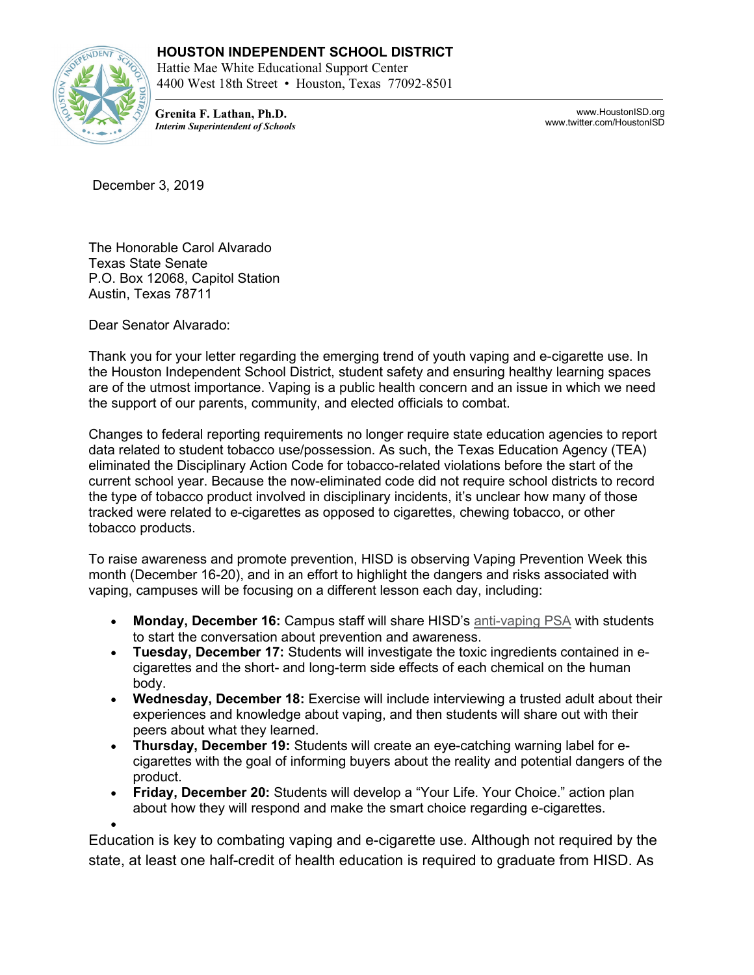## **HOUSTON INDEPENDENT SCHOOL DISTRICT**



Hattie Mae White Educational Support Center 4400 West 18th Street • Houston, Texas 77092-8501

**Grenita F. Lathan, Ph.D.** *Interim Superintendent of Schools*

www.HoustonISD.org www.twitter.com/HoustonISD

December 3, 2019

The Honorable Carol Alvarado Texas State Senate P.O. Box 12068, Capitol Station Austin, Texas 78711

Dear Senator Alvarado:

•

Thank you for your letter regarding the emerging trend of youth vaping and e-cigarette use. In the Houston Independent School District, student safety and ensuring healthy learning spaces are of the utmost importance. Vaping is a public health concern and an issue in which we need the support of our parents, community, and elected officials to combat.

Changes to federal reporting requirements no longer require state education agencies to report data related to student tobacco use/possession. As such, the Texas Education Agency (TEA) eliminated the Disciplinary Action Code for tobacco-related violations before the start of the current school year. Because the now-eliminated code did not require school districts to record the type of tobacco product involved in disciplinary incidents, it's unclear how many of those tracked were related to e-cigarettes as opposed to cigarettes, chewing tobacco, or other tobacco products.

To raise awareness and promote prevention, HISD is observing Vaping Prevention Week this month (December 16-20), and in an effort to highlight the dangers and risks associated with vaping, campuses will be focusing on a different lesson each day, including:

- **Monday, December 16:** Campus staff will share HISD's [anti-vaping PSA](https://vimeo.com/371478606) with students to start the conversation about prevention and awareness.
- **Tuesday, December 17:** Students will investigate the toxic ingredients contained in ecigarettes and the short- and long-term side effects of each chemical on the human body.
- **Wednesday, December 18:** Exercise will include interviewing a trusted adult about their experiences and knowledge about vaping, and then students will share out with their peers about what they learned.
- **Thursday, December 19:** Students will create an eye-catching warning label for ecigarettes with the goal of informing buyers about the reality and potential dangers of the product.
- **Friday, December 20:** Students will develop a "Your Life. Your Choice." action plan about how they will respond and make the smart choice regarding e-cigarettes.

Education is key to combating vaping and e-cigarette use. Although not required by the state, at least one half-credit of health education is required to graduate from HISD. As